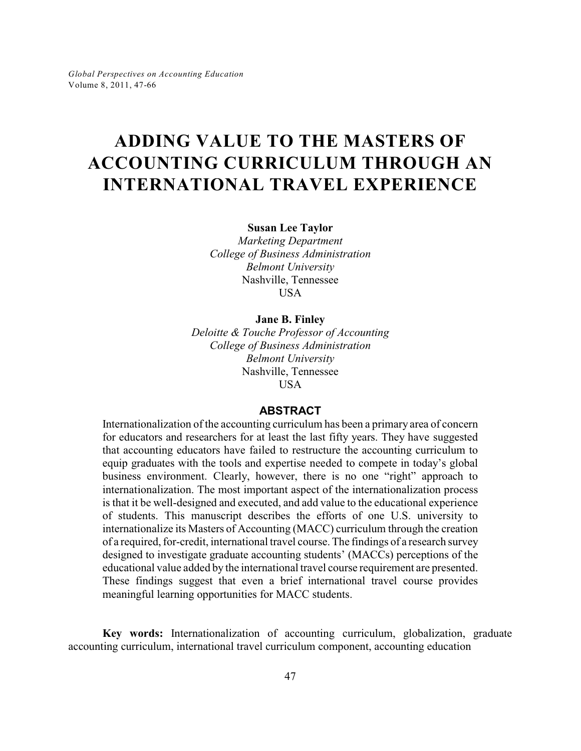# **ADDING VALUE TO THE MASTERS OF ACCOUNTING CURRICULUM THROUGH AN INTERNATIONAL TRAVEL EXPERIENCE**

**Susan Lee Taylor**

*Marketing Department College of Business Administration Belmont University* Nashville, Tennessee **USA** 

## **Jane B. Finley**

*Deloitte & Touche Professor of Accounting College of Business Administration Belmont University* Nashville, Tennessee USA

## **ABSTRACT**

Internationalization of the accounting curriculum has been a primary area of concern for educators and researchers for at least the last fifty years. They have suggested that accounting educators have failed to restructure the accounting curriculum to equip graduates with the tools and expertise needed to compete in today's global business environment. Clearly, however, there is no one "right" approach to internationalization. The most important aspect of the internationalization process is that it be well-designed and executed, and add value to the educational experience of students. This manuscript describes the efforts of one U.S. university to internationalize its Masters of Accounting (MACC) curriculum through the creation of a required, for-credit, international travel course. The findings of a research survey designed to investigate graduate accounting students' (MACCs) perceptions of the educational value added by the international travel course requirement are presented. These findings suggest that even a brief international travel course provides meaningful learning opportunities for MACC students.

**Key words:** Internationalization of accounting curriculum, globalization, graduate accounting curriculum, international travel curriculum component, accounting education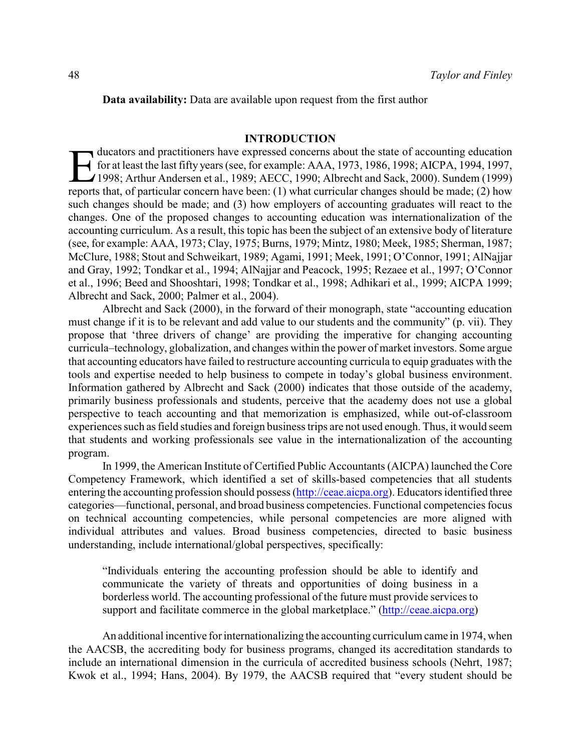#### **INTRODUCTION**

ducators and practitioners have expressed concerns about the state of accounting education<br>for at least the last fifty years (see, for example: AAA, 1973, 1986, 1998; AICPA, 1994, 1997, 1998; Arthur Andersen et al., 1989; ducators and practitioners have expressed concerns about the state of accounting education for at least the last fifty years (see, for example: AAA, 1973, 1986, 1998; AICPA, 1994, 1997, 1998; Arthur Andersen et al., 1989; AECC, 1990; Albrecht and Sack, 2000). Sundem (1999) such changes should be made; and (3) how employers of accounting graduates will react to the changes. One of the proposed changes to accounting education was internationalization of the accounting curriculum. As a result, this topic has been the subject of an extensive body of literature (see, for example: AAA, 1973; Clay, 1975; Burns, 1979; Mintz, 1980; Meek, 1985; Sherman, 1987; McClure, 1988; Stout and Schweikart, 1989; Agami, 1991; Meek, 1991; O'Connor, 1991; AlNajjar and Gray, 1992; Tondkar et al., 1994; AlNajjar and Peacock, 1995; Rezaee et al., 1997; O'Connor et al., 1996; Beed and Shooshtari, 1998; Tondkar et al., 1998; Adhikari et al., 1999; AICPA 1999; Albrecht and Sack, 2000; Palmer et al., 2004).

Albrecht and Sack (2000), in the forward of their monograph, state "accounting education must change if it is to be relevant and add value to our students and the community" (p. vii). They propose that 'three drivers of change' are providing the imperative for changing accounting curricula–technology, globalization, and changes within the power of market investors. Some argue that accounting educators have failed to restructure accounting curricula to equip graduates with the tools and expertise needed to help business to compete in today's global business environment. Information gathered by Albrecht and Sack (2000) indicates that those outside of the academy, primarily business professionals and students, perceive that the academy does not use a global perspective to teach accounting and that memorization is emphasized, while out-of-classroom experiences such as field studies and foreign business trips are not used enough. Thus, it would seem that students and working professionals see value in the internationalization of the accounting program.

In 1999, the American Institute of Certified Public Accountants (AICPA) launched the Core Competency Framework, which identified a set of skills-based competencies that all students entering the accounting profession should possess [\(http://ceae.aicpa.org](http://ceae.aicpa.org)). Educators identified three categories—functional, personal, and broad business competencies. Functional competencies focus on technical accounting competencies, while personal competencies are more aligned with individual attributes and values. Broad business competencies, directed to basic business understanding, include international/global perspectives, specifically:

"Individuals entering the accounting profession should be able to identify and communicate the variety of threats and opportunities of doing business in a borderless world. The accounting professional of the future must provide services to support and facilitate commerce in the global marketplace." [\(http://ceae.aicpa.org](http://ceae.aicpa.org))

An additional incentive for internationalizing the accounting curriculum came in 1974, when the AACSB, the accrediting body for business programs, changed its accreditation standards to include an international dimension in the curricula of accredited business schools (Nehrt, 1987; Kwok et al., 1994; Hans, 2004). By 1979, the AACSB required that "every student should be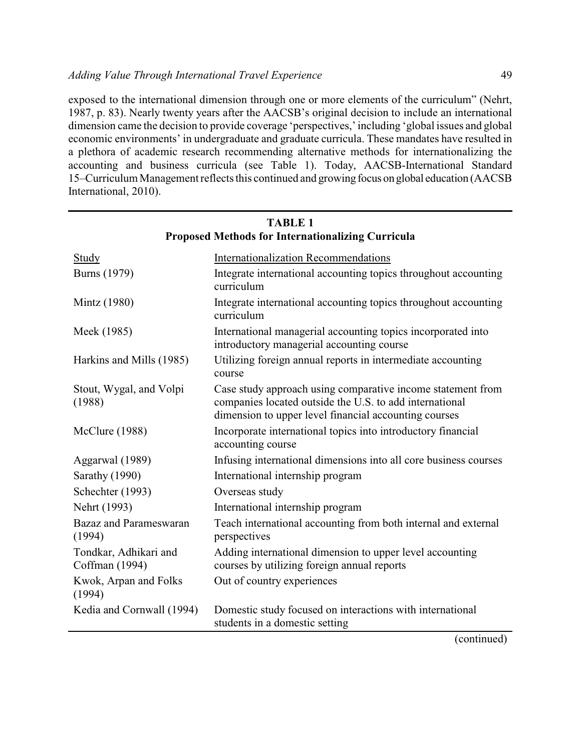exposed to the international dimension through one or more elements of the curriculum" (Nehrt, 1987, p. 83). Nearly twenty years after the AACSB's original decision to include an international dimension came the decision to provide coverage 'perspectives,' including 'global issues and global economic environments' in undergraduate and graduate curricula. These mandates have resulted in a plethora of academic research recommending alternative methods for internationalizing the accounting and business curricula (see Table 1). Today, AACSB-International Standard 15–Curriculum Management reflects this continued and growing focus on global education (AACSB International, 2010).

| Proposed Methods for Internationalizing Curricula |                                                                                                                                                                                 |  |  |  |
|---------------------------------------------------|---------------------------------------------------------------------------------------------------------------------------------------------------------------------------------|--|--|--|
| Study                                             | <b>Internationalization Recommendations</b>                                                                                                                                     |  |  |  |
| <b>Burns</b> (1979)                               | Integrate international accounting topics throughout accounting<br>curriculum                                                                                                   |  |  |  |
| Mintz (1980)                                      | Integrate international accounting topics throughout accounting<br>curriculum                                                                                                   |  |  |  |
| Meek (1985)                                       | International managerial accounting topics incorporated into<br>introductory managerial accounting course                                                                       |  |  |  |
| Harkins and Mills (1985)                          | Utilizing foreign annual reports in intermediate accounting<br>course                                                                                                           |  |  |  |
| Stout, Wygal, and Volpi<br>(1988)                 | Case study approach using comparative income statement from<br>companies located outside the U.S. to add international<br>dimension to upper level financial accounting courses |  |  |  |
| McClure (1988)                                    | Incorporate international topics into introductory financial<br>accounting course                                                                                               |  |  |  |
| Aggarwal (1989)                                   | Infusing international dimensions into all core business courses                                                                                                                |  |  |  |
| Sarathy (1990)                                    | International internship program                                                                                                                                                |  |  |  |
| Schechter (1993)                                  | Overseas study                                                                                                                                                                  |  |  |  |
| Nehrt (1993)                                      | International internship program                                                                                                                                                |  |  |  |
| <b>Bazaz</b> and Parameswaran<br>(1994)           | Teach international accounting from both internal and external<br>perspectives                                                                                                  |  |  |  |
| Tondkar, Adhikari and<br>Coffman (1994)           | Adding international dimension to upper level accounting<br>courses by utilizing foreign annual reports                                                                         |  |  |  |
| Kwok, Arpan and Folks<br>(1994)                   | Out of country experiences                                                                                                                                                      |  |  |  |
| Kedia and Cornwall (1994)                         | Domestic study focused on interactions with international<br>students in a domestic setting                                                                                     |  |  |  |

## **TABLE 1 Proposed Methods for Internationalizing Curricula**

(continued)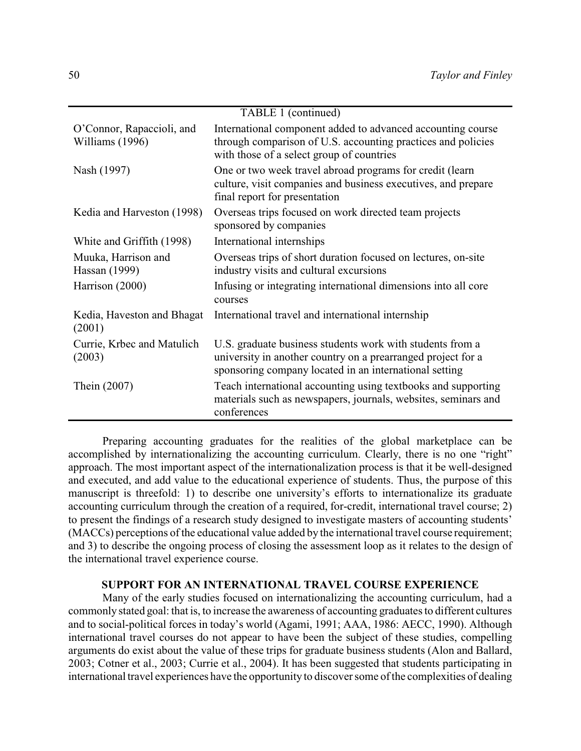| TABLE 1 (continued)                          |                                                                                                                                                                                     |  |  |  |
|----------------------------------------------|-------------------------------------------------------------------------------------------------------------------------------------------------------------------------------------|--|--|--|
| O'Connor, Rapaccioli, and<br>Williams (1996) | International component added to advanced accounting course<br>through comparison of U.S. accounting practices and policies<br>with those of a select group of countries            |  |  |  |
| Nash (1997)                                  | One or two week travel abroad programs for credit (learn<br>culture, visit companies and business executives, and prepare<br>final report for presentation                          |  |  |  |
| Kedia and Harveston (1998)                   | Overseas trips focused on work directed team projects<br>sponsored by companies                                                                                                     |  |  |  |
| White and Griffith (1998)                    | International internships                                                                                                                                                           |  |  |  |
| Muuka, Harrison and<br>Hassan (1999)         | Overseas trips of short duration focused on lectures, on-site<br>industry visits and cultural excursions                                                                            |  |  |  |
| Harrison (2000)                              | Infusing or integrating international dimensions into all core<br>courses                                                                                                           |  |  |  |
| Kedia, Haveston and Bhagat<br>(2001)         | International travel and international internship                                                                                                                                   |  |  |  |
| Currie, Krbec and Matulich<br>(2003)         | U.S. graduate business students work with students from a<br>university in another country on a prearranged project for a<br>sponsoring company located in an international setting |  |  |  |
| Thein (2007)                                 | Teach international accounting using textbooks and supporting<br>materials such as newspapers, journals, websites, seminars and<br>conferences                                      |  |  |  |

Preparing accounting graduates for the realities of the global marketplace can be accomplished by internationalizing the accounting curriculum. Clearly, there is no one "right" approach. The most important aspect of the internationalization process is that it be well-designed and executed, and add value to the educational experience of students. Thus, the purpose of this manuscript is threefold: 1) to describe one university's efforts to internationalize its graduate accounting curriculum through the creation of a required, for-credit, international travel course; 2) to present the findings of a research study designed to investigate masters of accounting students' (MACCs) perceptions of the educational value added by the international travel course requirement; and 3) to describe the ongoing process of closing the assessment loop as it relates to the design of the international travel experience course.

## **SUPPORT FOR AN INTERNATIONAL TRAVEL COURSE EXPERIENCE**

Many of the early studies focused on internationalizing the accounting curriculum, had a commonly stated goal: that is, to increase the awareness of accounting graduates to different cultures and to social-political forces in today's world (Agami, 1991; AAA, 1986: AECC, 1990). Although international travel courses do not appear to have been the subject of these studies, compelling arguments do exist about the value of these trips for graduate business students (Alon and Ballard, 2003; Cotner et al., 2003; Currie et al., 2004). It has been suggested that students participating in international travel experiences have the opportunity to discover some of the complexities of dealing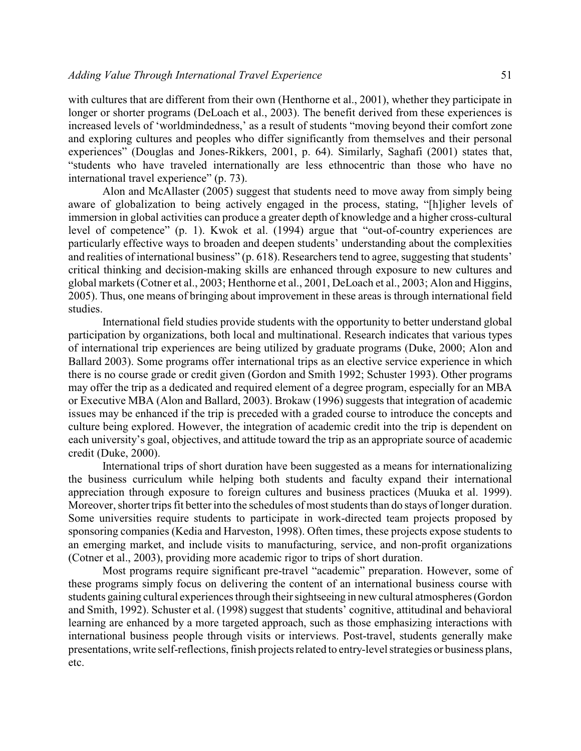with cultures that are different from their own (Henthorne et al., 2001), whether they participate in longer or shorter programs (DeLoach et al., 2003). The benefit derived from these experiences is increased levels of 'worldmindedness,' as a result of students "moving beyond their comfort zone and exploring cultures and peoples who differ significantly from themselves and their personal experiences" (Douglas and Jones-Rikkers, 2001, p. 64). Similarly, Saghafi (2001) states that, "students who have traveled internationally are less ethnocentric than those who have no international travel experience" (p. 73).

Alon and McAllaster (2005) suggest that students need to move away from simply being aware of globalization to being actively engaged in the process, stating, "[h]igher levels of immersion in global activities can produce a greater depth of knowledge and a higher cross-cultural level of competence" (p. 1). Kwok et al. (1994) argue that "out-of-country experiences are particularly effective ways to broaden and deepen students' understanding about the complexities and realities of international business" (p. 618). Researchers tend to agree, suggesting that students' critical thinking and decision-making skills are enhanced through exposure to new cultures and global markets (Cotner et al., 2003; Henthorne et al., 2001, DeLoach et al., 2003; Alon and Higgins, 2005). Thus, one means of bringing about improvement in these areas is through international field studies.

International field studies provide students with the opportunity to better understand global participation by organizations, both local and multinational. Research indicates that various types of international trip experiences are being utilized by graduate programs (Duke, 2000; Alon and Ballard 2003). Some programs offer international trips as an elective service experience in which there is no course grade or credit given (Gordon and Smith 1992; Schuster 1993). Other programs may offer the trip as a dedicated and required element of a degree program, especially for an MBA or Executive MBA (Alon and Ballard, 2003). Brokaw (1996) suggests that integration of academic issues may be enhanced if the trip is preceded with a graded course to introduce the concepts and culture being explored. However, the integration of academic credit into the trip is dependent on each university's goal, objectives, and attitude toward the trip as an appropriate source of academic credit (Duke, 2000).

International trips of short duration have been suggested as a means for internationalizing the business curriculum while helping both students and faculty expand their international appreciation through exposure to foreign cultures and business practices (Muuka et al. 1999). Moreover, shorter trips fit better into the schedules of most students than do stays of longer duration. Some universities require students to participate in work-directed team projects proposed by sponsoring companies (Kedia and Harveston, 1998). Often times, these projects expose students to an emerging market, and include visits to manufacturing, service, and non-profit organizations (Cotner et al., 2003), providing more academic rigor to trips of short duration.

Most programs require significant pre-travel "academic" preparation. However, some of these programs simply focus on delivering the content of an international business course with students gaining cultural experiences through their sightseeing in new cultural atmospheres (Gordon and Smith, 1992). Schuster et al. (1998) suggest that students' cognitive, attitudinal and behavioral learning are enhanced by a more targeted approach, such as those emphasizing interactions with international business people through visits or interviews. Post-travel, students generally make presentations, write self-reflections, finish projects related to entry-level strategies or business plans, etc.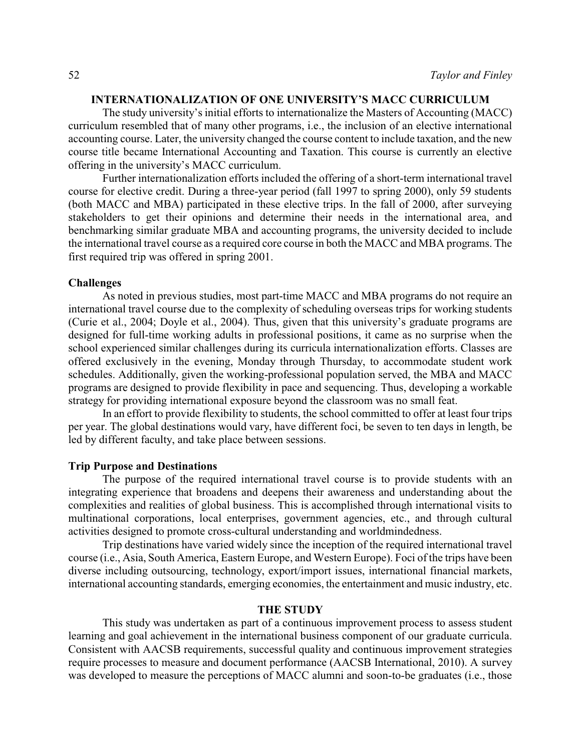## **INTERNATIONALIZATION OF ONE UNIVERSITY'S MACC CURRICULUM**

The study university's initial efforts to internationalize the Masters of Accounting (MACC) curriculum resembled that of many other programs, i.e., the inclusion of an elective international accounting course. Later, the university changed the course content to include taxation, and the new course title became International Accounting and Taxation. This course is currently an elective offering in the university's MACC curriculum.

Further internationalization efforts included the offering of a short-term international travel course for elective credit. During a three-year period (fall 1997 to spring 2000), only 59 students (both MACC and MBA) participated in these elective trips. In the fall of 2000, after surveying stakeholders to get their opinions and determine their needs in the international area, and benchmarking similar graduate MBA and accounting programs, the university decided to include the international travel course as a required core course in both the MACC and MBA programs. The first required trip was offered in spring 2001.

#### **Challenges**

As noted in previous studies, most part-time MACC and MBA programs do not require an international travel course due to the complexity of scheduling overseas trips for working students (Curie et al., 2004; Doyle et al., 2004). Thus, given that this university's graduate programs are designed for full-time working adults in professional positions, it came as no surprise when the school experienced similar challenges during its curricula internationalization efforts. Classes are offered exclusively in the evening, Monday through Thursday, to accommodate student work schedules. Additionally, given the working-professional population served, the MBA and MACC programs are designed to provide flexibility in pace and sequencing. Thus, developing a workable strategy for providing international exposure beyond the classroom was no small feat.

In an effort to provide flexibility to students, the school committed to offer at least four trips per year. The global destinations would vary, have different foci, be seven to ten days in length, be led by different faculty, and take place between sessions.

#### **Trip Purpose and Destinations**

The purpose of the required international travel course is to provide students with an integrating experience that broadens and deepens their awareness and understanding about the complexities and realities of global business. This is accomplished through international visits to multinational corporations, local enterprises, government agencies, etc., and through cultural activities designed to promote cross-cultural understanding and worldmindedness.

Trip destinations have varied widely since the inception of the required international travel course (i.e., Asia, South America, Eastern Europe, and Western Europe). Foci of the trips have been diverse including outsourcing, technology, export/import issues, international financial markets, international accounting standards, emerging economies, the entertainment and music industry, etc.

## **THE STUDY**

This study was undertaken as part of a continuous improvement process to assess student learning and goal achievement in the international business component of our graduate curricula. Consistent with AACSB requirements, successful quality and continuous improvement strategies require processes to measure and document performance (AACSB International, 2010). A survey was developed to measure the perceptions of MACC alumni and soon-to-be graduates (i.e., those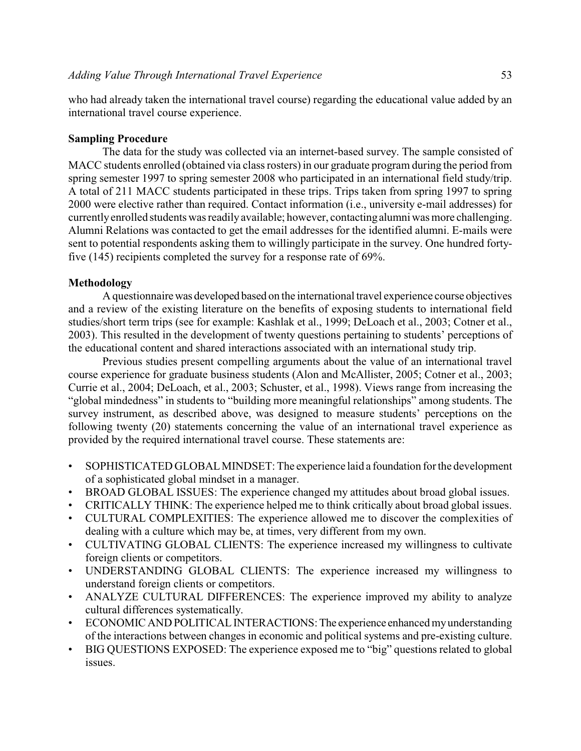who had already taken the international travel course) regarding the educational value added by an international travel course experience.

## **Sampling Procedure**

The data for the study was collected via an internet-based survey. The sample consisted of MACC students enrolled (obtained via class rosters) in our graduate program during the period from spring semester 1997 to spring semester 2008 who participated in an international field study/trip. A total of 211 MACC students participated in these trips. Trips taken from spring 1997 to spring 2000 were elective rather than required. Contact information (i.e., university e-mail addresses) for currentlyenrolled students was readilyavailable; however, contactingalumni was more challenging. Alumni Relations was contacted to get the email addresses for the identified alumni. E-mails were sent to potential respondents asking them to willingly participate in the survey. One hundred fortyfive (145) recipients completed the survey for a response rate of 69%.

## **Methodology**

A questionnairewas developed based on the international travel experience course objectives and a review of the existing literature on the benefits of exposing students to international field studies/short term trips (see for example: Kashlak et al., 1999; DeLoach et al., 2003; Cotner et al., 2003). This resulted in the development of twenty questions pertaining to students' perceptions of the educational content and shared interactions associated with an international study trip.

Previous studies present compelling arguments about the value of an international travel course experience for graduate business students (Alon and McAllister, 2005; Cotner et al., 2003; Currie et al., 2004; DeLoach, et al., 2003; Schuster, et al., 1998). Views range from increasing the "global mindedness" in students to "building more meaningful relationships" among students. The survey instrument, as described above, was designed to measure students' perceptions on the following twenty (20) statements concerning the value of an international travel experience as provided by the required international travel course. These statements are:

- SOPHISTICATED GLOBALMINDSET: The experience laid a foundation for the development of a sophisticated global mindset in a manager.
- BROAD GLOBAL ISSUES: The experience changed my attitudes about broad global issues.
- CRITICALLY THINK: The experience helped me to think critically about broad global issues.
- CULTURAL COMPLEXITIES: The experience allowed me to discover the complexities of dealing with a culture which may be, at times, very different from my own.
- CULTIVATING GLOBAL CLIENTS: The experience increased my willingness to cultivate foreign clients or competitors.
- UNDERSTANDING GLOBAL CLIENTS: The experience increased my willingness to understand foreign clients or competitors.
- ANALYZE CULTURAL DIFFERENCES: The experience improved my ability to analyze cultural differences systematically.
- ECONOMIC AND POLITICALINTERACTIONS:The experience enhanced myunderstanding of the interactions between changes in economic and political systems and pre-existing culture.
- BIG QUESTIONS EXPOSED: The experience exposed me to "big" questions related to global issues.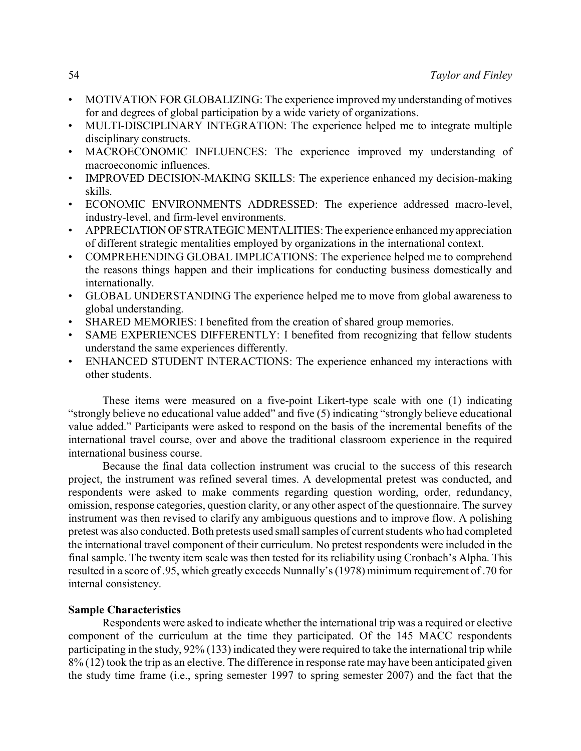- MOTIVATION FOR GLOBALIZING: The experience improved my understanding of motives for and degrees of global participation by a wide variety of organizations.
- MULTI-DISCIPLINARY INTEGRATION: The experience helped me to integrate multiple disciplinary constructs.
- MACROECONOMIC INFLUENCES: The experience improved my understanding of macroeconomic influences.
- IMPROVED DECISION-MAKING SKILLS: The experience enhanced my decision-making skills.
- ECONOMIC ENVIRONMENTS ADDRESSED: The experience addressed macro-level, industry-level, and firm-level environments.
- APPRECIATIONOFSTRATEGIC MENTALITIES: The experience enhanced myappreciation of different strategic mentalities employed by organizations in the international context.
- COMPREHENDING GLOBAL IMPLICATIONS: The experience helped me to comprehend the reasons things happen and their implications for conducting business domestically and internationally.
- GLOBAL UNDERSTANDING The experience helped me to move from global awareness to global understanding.
- SHARED MEMORIES: I benefited from the creation of shared group memories.
- SAME EXPERIENCES DIFFERENTLY: I benefited from recognizing that fellow students understand the same experiences differently.
- ENHANCED STUDENT INTERACTIONS: The experience enhanced my interactions with other students.

These items were measured on a five-point Likert-type scale with one (1) indicating "strongly believe no educational value added" and five (5) indicating "strongly believe educational value added." Participants were asked to respond on the basis of the incremental benefits of the international travel course, over and above the traditional classroom experience in the required international business course.

Because the final data collection instrument was crucial to the success of this research project, the instrument was refined several times. A developmental pretest was conducted, and respondents were asked to make comments regarding question wording, order, redundancy, omission, response categories, question clarity, or any other aspect of the questionnaire. The survey instrument was then revised to clarify any ambiguous questions and to improve flow. A polishing pretest was also conducted. Both pretests used small samples of current students who had completed the international travel component of their curriculum. No pretest respondents were included in the final sample. The twenty item scale was then tested for its reliability using Cronbach's Alpha. This resulted in a score of .95, which greatly exceeds Nunnally's (1978) minimum requirement of .70 for internal consistency.

## **Sample Characteristics**

Respondents were asked to indicate whether the international trip was a required or elective component of the curriculum at the time they participated. Of the 145 MACC respondents participating in the study, 92% (133) indicated theywere required to take the international trip while 8% (12) took the trip as an elective. The difference in response rate may have been anticipated given the study time frame (i.e., spring semester 1997 to spring semester 2007) and the fact that the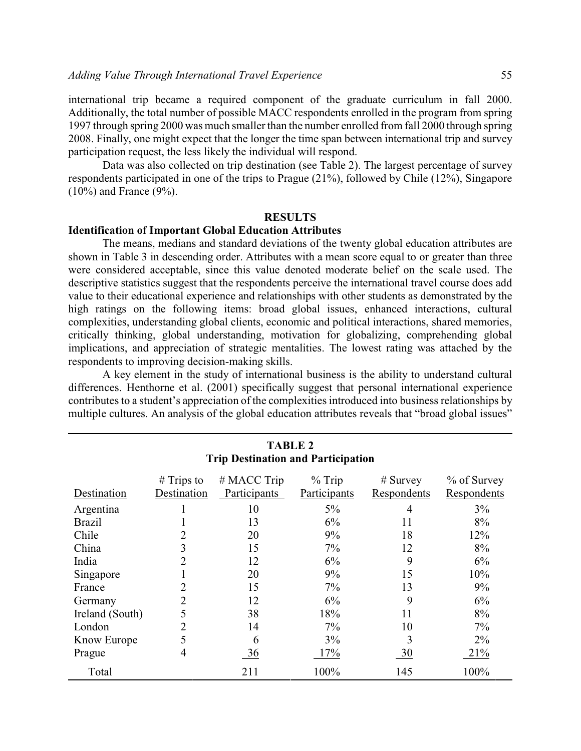international trip became a required component of the graduate curriculum in fall 2000. Additionally, the total number of possible MACC respondents enrolled in the program from spring 1997 through spring 2000 was much smaller than the number enrolled from fall 2000 through spring 2008. Finally, one might expect that the longer the time span between international trip and survey participation request, the less likely the individual will respond.

Data was also collected on trip destination (see Table 2). The largest percentage of survey respondents participated in one of the trips to Prague (21%), followed by Chile (12%), Singapore (10%) and France (9%).

#### **RESULTS**

#### **Identification of Important Global Education Attributes**

The means, medians and standard deviations of the twenty global education attributes are shown in Table 3 in descending order. Attributes with a mean score equal to or greater than three were considered acceptable, since this value denoted moderate belief on the scale used. The descriptive statistics suggest that the respondents perceive the international travel course does add value to their educational experience and relationships with other students as demonstrated by the high ratings on the following items: broad global issues, enhanced interactions, cultural complexities, understanding global clients, economic and political interactions, shared memories, critically thinking, global understanding, motivation for globalizing, comprehending global implications, and appreciation of strategic mentalities. The lowest rating was attached by the respondents to improving decision-making skills.

A key element in the study of international business is the ability to understand cultural differences. Henthorne et al. (2001) specifically suggest that personal international experience contributes to a student's appreciation of the complexities introduced into business relationships by multiple cultures. An analysis of the global education attributes reveals that "broad global issues"

| <b>TABLE 2</b><br><b>Trip Destination and Participation</b> |                             |                             |                          |                           |                               |  |
|-------------------------------------------------------------|-----------------------------|-----------------------------|--------------------------|---------------------------|-------------------------------|--|
| Destination                                                 | $#$ Trips to<br>Destination | # MACC Trip<br>Participants | $%$ Trip<br>Participants | $#$ Survey<br>Respondents | $\%$ of Survey<br>Respondents |  |
| Argentina                                                   |                             | 10                          | $5\%$                    | 4                         | 3%                            |  |
| <b>Brazil</b>                                               |                             | 13                          | 6%                       | 11                        | 8%                            |  |
| Chile                                                       | 2                           | 20                          | 9%                       | 18                        | 12%                           |  |
| China                                                       | 3                           | 15                          | 7%                       | 12                        | 8%                            |  |
| India                                                       | 2                           | 12                          | 6%                       | 9                         | 6%                            |  |
| Singapore                                                   |                             | 20                          | 9%                       | 15                        | 10%                           |  |
| France                                                      | 2                           | 15                          | 7%                       | 13                        | 9%                            |  |
| Germany                                                     | 2                           | 12                          | 6%                       | 9                         | 6%                            |  |
| Ireland (South)                                             | 5                           | 38                          | 18%                      | 11                        | 8%                            |  |
| London                                                      | 2                           | 14                          | 7%                       | 10                        | 7%                            |  |
| Know Europe                                                 |                             | 6                           | $3\%$                    | 3                         | $2\%$                         |  |
| Prague                                                      | 4                           | 36                          | 17%                      | 30                        | 21%                           |  |
| Total                                                       |                             | 211                         | 100%                     | 145                       | 100%                          |  |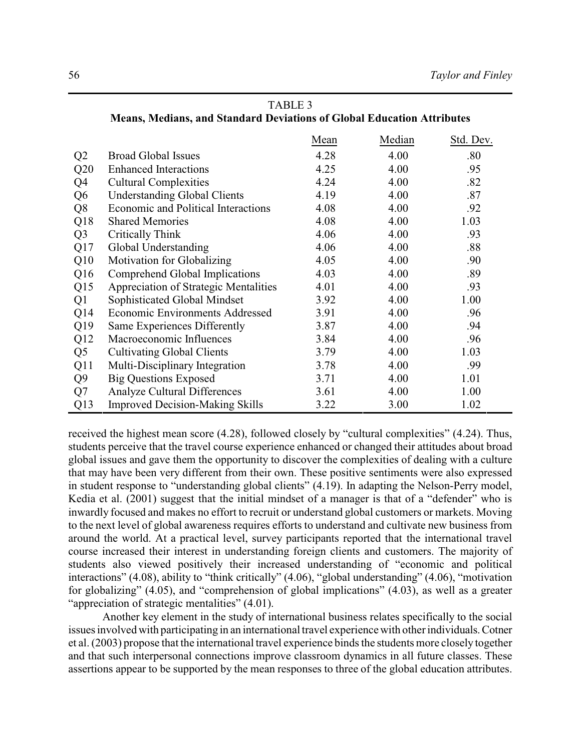|                | Neans, Medians, and Standard Deviations of Global Education Attributes |      |        |           |
|----------------|------------------------------------------------------------------------|------|--------|-----------|
|                |                                                                        | Mean | Median | Std. Dev. |
| Q <sub>2</sub> | <b>Broad Global Issues</b>                                             | 4.28 | 4.00   | .80       |
| Q20            | <b>Enhanced Interactions</b>                                           | 4.25 | 4.00   | .95       |
| Q <sub>4</sub> | <b>Cultural Complexities</b>                                           | 4.24 | 4.00   | .82       |
| Q <sub>6</sub> | <b>Understanding Global Clients</b>                                    | 4.19 | 4.00   | .87       |
| Q <sub>8</sub> | Economic and Political Interactions                                    | 4.08 | 4.00   | .92       |
| Q18            | <b>Shared Memories</b>                                                 | 4.08 | 4.00   | 1.03      |
| Q <sub>3</sub> | Critically Think                                                       | 4.06 | 4.00   | .93       |
| Q17            | Global Understanding                                                   | 4.06 | 4.00   | .88       |
| Q10            | Motivation for Globalizing                                             | 4.05 | 4.00   | .90       |
| Q16            | Comprehend Global Implications                                         | 4.03 | 4.00   | .89       |
| Q15            | Appreciation of Strategic Mentalities                                  | 4.01 | 4.00   | .93       |
| Q1             | Sophisticated Global Mindset                                           | 3.92 | 4.00   | 1.00      |
| Q14            | Economic Environments Addressed                                        | 3.91 | 4.00   | .96       |
| Q19            | Same Experiences Differently                                           | 3.87 | 4.00   | .94       |
| Q12            | Macroeconomic Influences                                               | 3.84 | 4.00   | .96       |
| Q <sub>5</sub> | <b>Cultivating Global Clients</b>                                      | 3.79 | 4.00   | 1.03      |
| Q11            | Multi-Disciplinary Integration                                         | 3.78 | 4.00   | .99       |
| Q <sub>9</sub> | <b>Big Questions Exposed</b>                                           | 3.71 | 4.00   | 1.01      |

Q7 Analyze Cultural Differences 3.61 4.00 1.00 Q13 Improved Decision-Making Skills 3.22 3.00 1.02

| TABLE 3                                                                       |
|-------------------------------------------------------------------------------|
| <b>Means, Medians, and Standard Deviations of Global Education Attributes</b> |

received the highest mean score (4.28), followed closely by "cultural complexities" (4.24). Thus, students perceive that the travel course experience enhanced or changed their attitudes about broad global issues and gave them the opportunity to discover the complexities of dealing with a culture that may have been very different from their own. These positive sentiments were also expressed in student response to "understanding global clients" (4.19). In adapting the Nelson-Perry model, Kedia et al. (2001) suggest that the initial mindset of a manager is that of a "defender" who is inwardly focused and makes no effort to recruit or understand global customers or markets. Moving to the next level of global awareness requires efforts to understand and cultivate new business from around the world. At a practical level, survey participants reported that the international travel course increased their interest in understanding foreign clients and customers. The majority of students also viewed positively their increased understanding of "economic and political interactions" (4.08), ability to "think critically" (4.06), "global understanding" (4.06), "motivation for globalizing" (4.05), and "comprehension of global implications" (4.03), as well as a greater "appreciation of strategic mentalities" (4.01).

Another key element in the study of international business relates specifically to the social issues involved with participating in an international travel experiencewith other individuals.Cotner et al. (2003) propose that the international travel experience binds the students more closely together and that such interpersonal connections improve classroom dynamics in all future classes. These assertions appear to be supported by the mean responses to three of the global education attributes.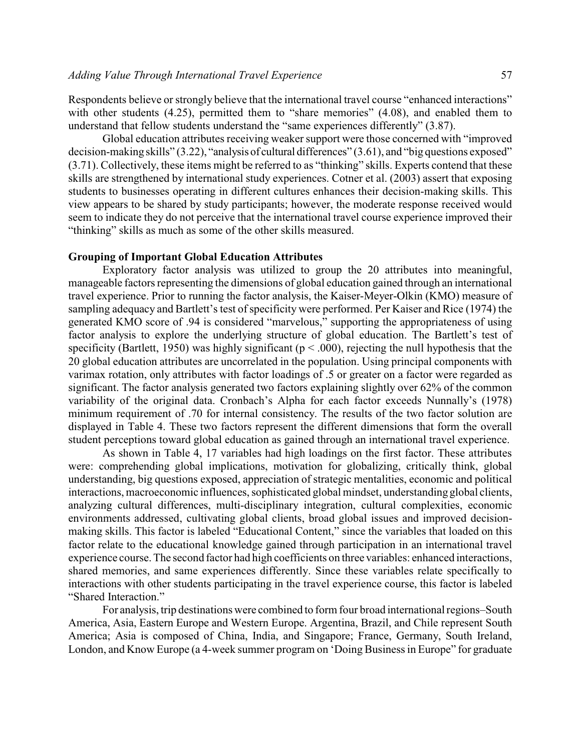Respondents believe or strongly believe that the international travel course "enhanced interactions" with other students (4.25), permitted them to "share memories" (4.08), and enabled them to understand that fellow students understand the "same experiences differently" (3.87).

Global education attributes receiving weaker support were those concerned with "improved decision-making skills" (3.22), "analysis of cultural differences" (3.61), and "big questions exposed" (3.71). Collectively, these items might be referred to as "thinking" skills. Experts contend that these skills are strengthened by international study experiences. Cotner et al. (2003) assert that exposing students to businesses operating in different cultures enhances their decision-making skills. This view appears to be shared by study participants; however, the moderate response received would seem to indicate they do not perceive that the international travel course experience improved their "thinking" skills as much as some of the other skills measured.

#### **Grouping of Important Global Education Attributes**

Exploratory factor analysis was utilized to group the 20 attributes into meaningful, manageable factors representing the dimensions of global education gained through an international travel experience. Prior to running the factor analysis, the Kaiser-Meyer-Olkin (KMO) measure of sampling adequacy and Bartlett's test of specificity were performed. Per Kaiser and Rice (1974) the generated KMO score of .94 is considered "marvelous," supporting the appropriateness of using factor analysis to explore the underlying structure of global education. The Bartlett's test of specificity (Bartlett, 1950) was highly significant ( $p < .000$ ), rejecting the null hypothesis that the 20 global education attributes are uncorrelated in the population. Using principal components with varimax rotation, only attributes with factor loadings of .5 or greater on a factor were regarded as significant. The factor analysis generated two factors explaining slightly over 62% of the common variability of the original data. Cronbach's Alpha for each factor exceeds Nunnally's (1978) minimum requirement of .70 for internal consistency. The results of the two factor solution are displayed in Table 4. These two factors represent the different dimensions that form the overall student perceptions toward global education as gained through an international travel experience.

As shown in Table 4, 17 variables had high loadings on the first factor. These attributes were: comprehending global implications, motivation for globalizing, critically think, global understanding, big questions exposed, appreciation of strategic mentalities, economic and political interactions, macroeconomic influences, sophisticated global mindset, understanding global clients, analyzing cultural differences, multi-disciplinary integration, cultural complexities, economic environments addressed, cultivating global clients, broad global issues and improved decisionmaking skills. This factor is labeled "Educational Content," since the variables that loaded on this factor relate to the educational knowledge gained through participation in an international travel experience course. The second factor had high coefficients on three variables: enhanced interactions, shared memories, and same experiences differently. Since these variables relate specifically to interactions with other students participating in the travel experience course, this factor is labeled "Shared Interaction."

For analysis, trip destinations were combined to form four broad international regions–South America, Asia, Eastern Europe and Western Europe. Argentina, Brazil, and Chile represent South America; Asia is composed of China, India, and Singapore; France, Germany, South Ireland, London, and Know Europe (a 4-week summer program on 'Doing Business in Europe" for graduate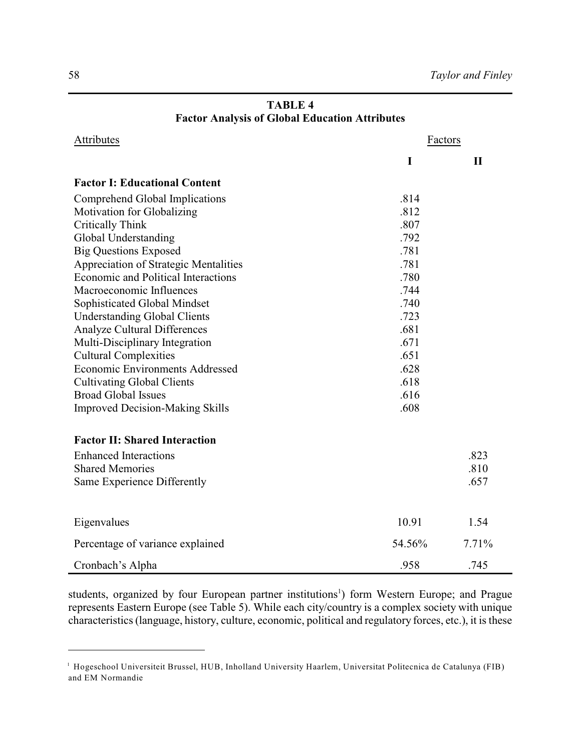| Attributes                                   | Factors |              |  |  |
|----------------------------------------------|---------|--------------|--|--|
|                                              | I       | $\mathbf{I}$ |  |  |
| <b>Factor I: Educational Content</b>         |         |              |  |  |
| Comprehend Global Implications               | .814    |              |  |  |
| Motivation for Globalizing                   | .812    |              |  |  |
| Critically Think                             | .807    |              |  |  |
| Global Understanding                         | .792    |              |  |  |
| <b>Big Questions Exposed</b>                 | .781    |              |  |  |
| <b>Appreciation of Strategic Mentalities</b> | .781    |              |  |  |
| <b>Economic and Political Interactions</b>   | .780    |              |  |  |
| Macroeconomic Influences                     | .744    |              |  |  |
| Sophisticated Global Mindset                 | .740    |              |  |  |
| <b>Understanding Global Clients</b>          | .723    |              |  |  |
| <b>Analyze Cultural Differences</b>          | .681    |              |  |  |
| Multi-Disciplinary Integration               | .671    |              |  |  |
| <b>Cultural Complexities</b>                 | .651    |              |  |  |
| <b>Economic Environments Addressed</b>       | .628    |              |  |  |
| <b>Cultivating Global Clients</b>            | .618    |              |  |  |
| <b>Broad Global Issues</b>                   | .616    |              |  |  |
| <b>Improved Decision-Making Skills</b>       | .608    |              |  |  |
| <b>Factor II: Shared Interaction</b>         |         |              |  |  |
| <b>Enhanced Interactions</b>                 |         | .823         |  |  |
| <b>Shared Memories</b>                       |         | .810         |  |  |
| Same Experience Differently                  |         | .657         |  |  |
| Eigenvalues                                  | 10.91   | 1.54         |  |  |
| Percentage of variance explained             | 54.56%  | 7.71%        |  |  |
| Cronbach's Alpha                             | .958    | .745         |  |  |

## **TABLE 4 Factor Analysis of Global Education Attributes**

students, organized by four European partner institutions<sup>1</sup>) form Western Europe; and Prague represents Eastern Europe (see Table 5). While each city/country is a complex society with unique characteristics (language, history, culture, economic, political and regulatory forces, etc.), it is these

<sup>&</sup>lt;sup>1</sup> Hogeschool Universiteit Brussel, HUB, Inholland University Haarlem, Universitat Politecnica de Catalunya (FIB) and EM Normandie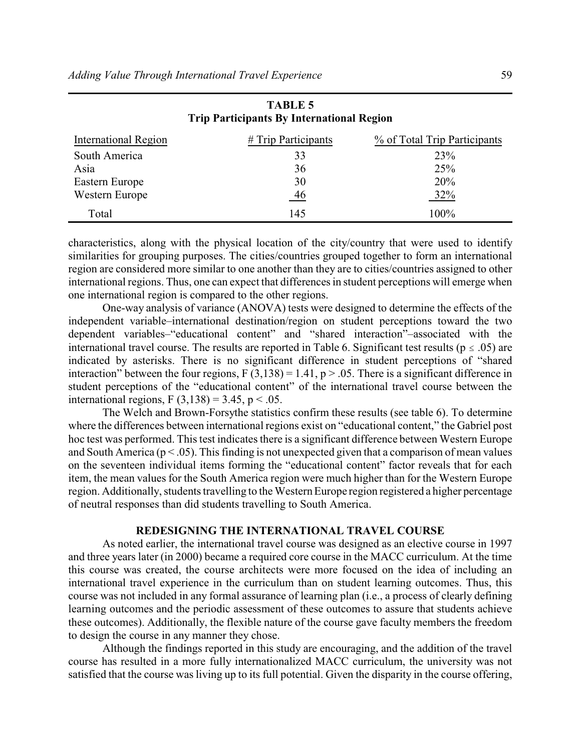| International Region | # Trip Participants | % of Total Trip Participants |
|----------------------|---------------------|------------------------------|
| South America        | 33                  | 23%                          |
| Asia                 | 36                  | 25%                          |
| Eastern Europe       | 30                  | 20%                          |
| Western Europe       | 46                  | 32%                          |
| Total                | 145                 | 100%                         |

| <b>TABLE 5</b>                                   |  |
|--------------------------------------------------|--|
| <b>Trip Participants By International Region</b> |  |

characteristics, along with the physical location of the city/country that were used to identify similarities for grouping purposes. The cities/countries grouped together to form an international region are considered more similar to one another than they are to cities/countries assigned to other international regions. Thus, one can expect that differences in student perceptions will emerge when one international region is compared to the other regions.

One-way analysis of variance (ANOVA) tests were designed to determine the effects of the independent variable–international destination/region on student perceptions toward the two dependent variables–"educational content" and "shared interaction"–associated with the international travel course. The results are reported in Table 6. Significant test results ( $p \le .05$ ) are indicated by asterisks. There is no significant difference in student perceptions of "shared interaction" between the four regions,  $F(3,138) = 1.41$ ,  $p > .05$ . There is a significant difference in student perceptions of the "educational content" of the international travel course between the international regions, F  $(3,138) = 3.45$ , p < .05.

The Welch and Brown-Forsythe statistics confirm these results (see table 6). To determine where the differences between international regions exist on "educational content," the Gabriel post hoc test was performed. This test indicates there is a significant difference between Western Europe and South America ( $p < .05$ ). This finding is not unexpected given that a comparison of mean values on the seventeen individual items forming the "educational content" factor reveals that for each item, the mean values for the South America region were much higher than for the Western Europe region. Additionally, students travelling to the Western Europe region registered a higher percentage of neutral responses than did students travelling to South America.

#### **REDESIGNING THE INTERNATIONAL TRAVEL COURSE**

As noted earlier, the international travel course was designed as an elective course in 1997 and three years later (in 2000) became a required core course in the MACC curriculum. At the time this course was created, the course architects were more focused on the idea of including an international travel experience in the curriculum than on student learning outcomes. Thus, this course was not included in any formal assurance of learning plan (i.e., a process of clearly defining learning outcomes and the periodic assessment of these outcomes to assure that students achieve these outcomes). Additionally, the flexible nature of the course gave faculty members the freedom to design the course in any manner they chose.

Although the findings reported in this study are encouraging, and the addition of the travel course has resulted in a more fully internationalized MACC curriculum, the university was not satisfied that the course was living up to its full potential. Given the disparity in the course offering,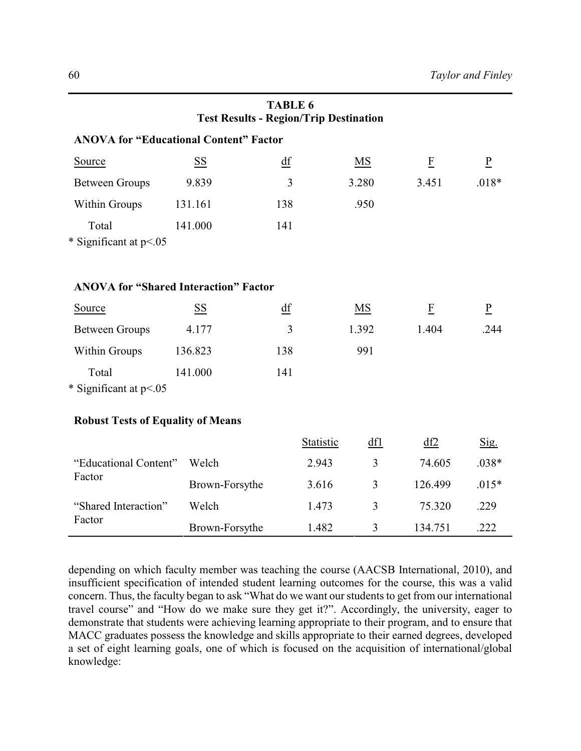|                                               | <b>Test Results - Region/Trip Destination</b> | <b>TABLE 6</b> |           |                |                |                 |
|-----------------------------------------------|-----------------------------------------------|----------------|-----------|----------------|----------------|-----------------|
| <b>ANOVA for "Educational Content" Factor</b> |                                               |                |           |                |                |                 |
| Source                                        | <b>SS</b>                                     | df             |           | MS             | $\overline{F}$ | $\underline{P}$ |
| <b>Between Groups</b>                         | 9.839                                         | 3              |           | 3.280          | 3.451          | $.018*$         |
| Within Groups                                 | 131.161                                       | 138            |           | .950           |                |                 |
| Total<br>* Significant at p<.05               | 141.000                                       | 141            |           |                |                |                 |
| <b>ANOVA for "Shared Interaction" Factor</b>  |                                               |                |           |                |                |                 |
| Source                                        | SS                                            | df             |           | MS             | $\overline{F}$ | $\underline{P}$ |
| <b>Between Groups</b>                         | 4.177                                         | $\overline{3}$ |           | 1.392          | 1.404          | .244            |
| Within Groups                                 | 136.823                                       | 138            |           | 991            |                |                 |
| Total<br>* Significant at p<.05               | 141.000                                       | 141            |           |                |                |                 |
| <b>Robust Tests of Equality of Means</b>      |                                               |                |           |                |                |                 |
|                                               |                                               |                | Statistic | df1            | df2            | Sig.            |
| "Educational Content"<br>Factor               | Welch                                         |                | 2.943     | $\overline{3}$ | 74.605         | $.038*$         |
|                                               | Brown-Forsythe                                |                | 3.616     | $\overline{3}$ | 126.499        | $.015*$         |
| "Shared Interaction"<br>Factor                | Welch                                         |                | 1.473     | 3              | 75.320         | .229            |
|                                               | Brown-Forsythe                                |                | 1.482     | 3              | 134.751        | .222            |

depending on which faculty member was teaching the course (AACSB International, 2010), and insufficient specification of intended student learning outcomes for the course, this was a valid concern. Thus, the faculty began to ask "What do we want our students to get from our international travel course" and "How do we make sure they get it?". Accordingly, the university, eager to demonstrate that students were achieving learning appropriate to their program, and to ensure that MACC graduates possess the knowledge and skills appropriate to their earned degrees, developed a set of eight learning goals, one of which is focused on the acquisition of international/global knowledge: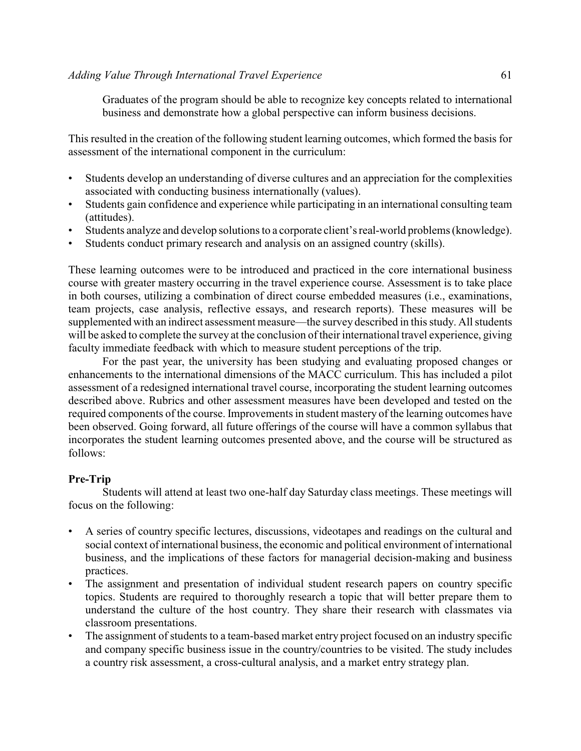Graduates of the program should be able to recognize key concepts related to international business and demonstrate how a global perspective can inform business decisions.

This resulted in the creation of the following student learning outcomes, which formed the basis for assessment of the international component in the curriculum:

- Students develop an understanding of diverse cultures and an appreciation for the complexities associated with conducting business internationally (values).
- Students gain confidence and experience while participating in an international consulting team (attitudes).
- Students analyze and develop solutions to a corporate client's real-world problems (knowledge).
- Students conduct primary research and analysis on an assigned country (skills).

These learning outcomes were to be introduced and practiced in the core international business course with greater mastery occurring in the travel experience course. Assessment is to take place in both courses, utilizing a combination of direct course embedded measures (i.e., examinations, team projects, case analysis, reflective essays, and research reports). These measures will be supplemented with an indirect assessment measure—the survey described in this study. All students will be asked to complete the survey at the conclusion of their international travel experience, giving faculty immediate feedback with which to measure student perceptions of the trip.

For the past year, the university has been studying and evaluating proposed changes or enhancements to the international dimensions of the MACC curriculum. This has included a pilot assessment of a redesigned international travel course, incorporating the student learning outcomes described above. Rubrics and other assessment measures have been developed and tested on the required components of the course. Improvements in student mastery of the learning outcomes have been observed. Going forward, all future offerings of the course will have a common syllabus that incorporates the student learning outcomes presented above, and the course will be structured as follows:

## **Pre-Trip**

Students will attend at least two one-half day Saturday class meetings. These meetings will focus on the following:

- A series of country specific lectures, discussions, videotapes and readings on the cultural and social context of international business, the economic and political environment of international business, and the implications of these factors for managerial decision-making and business practices.
- The assignment and presentation of individual student research papers on country specific topics. Students are required to thoroughly research a topic that will better prepare them to understand the culture of the host country. They share their research with classmates via classroom presentations.
- The assignment of students to a team-based market entry project focused on an industry specific and company specific business issue in the country/countries to be visited. The study includes a country risk assessment, a cross-cultural analysis, and a market entry strategy plan.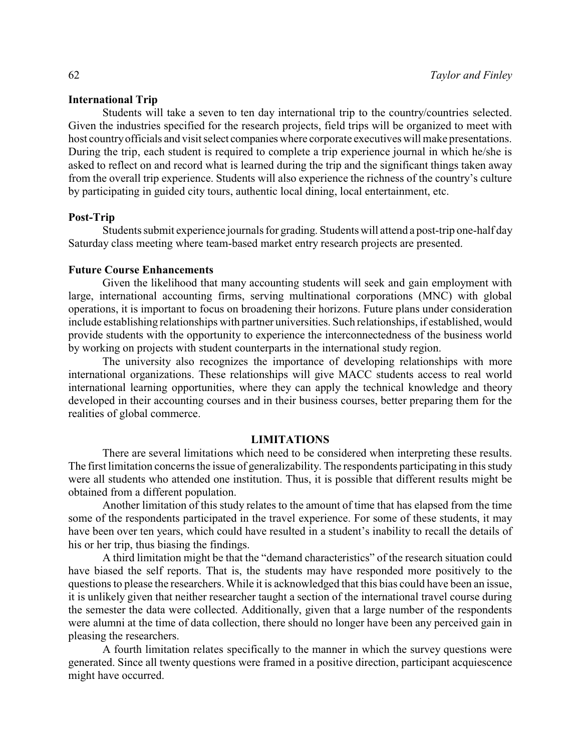#### **International Trip**

Students will take a seven to ten day international trip to the country/countries selected. Given the industries specified for the research projects, field trips will be organized to meet with host countryofficials and visit select companies where corporate executives will make presentations. During the trip, each student is required to complete a trip experience journal in which he/she is asked to reflect on and record what is learned during the trip and the significant things taken away from the overall trip experience. Students will also experience the richness of the country's culture by participating in guided city tours, authentic local dining, local entertainment, etc.

#### **Post-Trip**

Students submit experience journals for grading. Students will attend a post-trip one-half day Saturday class meeting where team-based market entry research projects are presented.

#### **Future Course Enhancements**

Given the likelihood that many accounting students will seek and gain employment with large, international accounting firms, serving multinational corporations (MNC) with global operations, it is important to focus on broadening their horizons. Future plans under consideration include establishing relationships with partner universities. Such relationships, if established, would provide students with the opportunity to experience the interconnectedness of the business world by working on projects with student counterparts in the international study region.

The university also recognizes the importance of developing relationships with more international organizations. These relationships will give MACC students access to real world international learning opportunities, where they can apply the technical knowledge and theory developed in their accounting courses and in their business courses, better preparing them for the realities of global commerce.

## **LIMITATIONS**

There are several limitations which need to be considered when interpreting these results. The first limitation concerns the issue of generalizability. The respondents participating in this study were all students who attended one institution. Thus, it is possible that different results might be obtained from a different population.

Another limitation of this study relates to the amount of time that has elapsed from the time some of the respondents participated in the travel experience. For some of these students, it may have been over ten years, which could have resulted in a student's inability to recall the details of his or her trip, thus biasing the findings.

A third limitation might be that the "demand characteristics" of the research situation could have biased the self reports. That is, the students may have responded more positively to the questions to please the researchers. While it is acknowledged that this bias could have been an issue, it is unlikely given that neither researcher taught a section of the international travel course during the semester the data were collected. Additionally, given that a large number of the respondents were alumni at the time of data collection, there should no longer have been any perceived gain in pleasing the researchers.

A fourth limitation relates specifically to the manner in which the survey questions were generated. Since all twenty questions were framed in a positive direction, participant acquiescence might have occurred.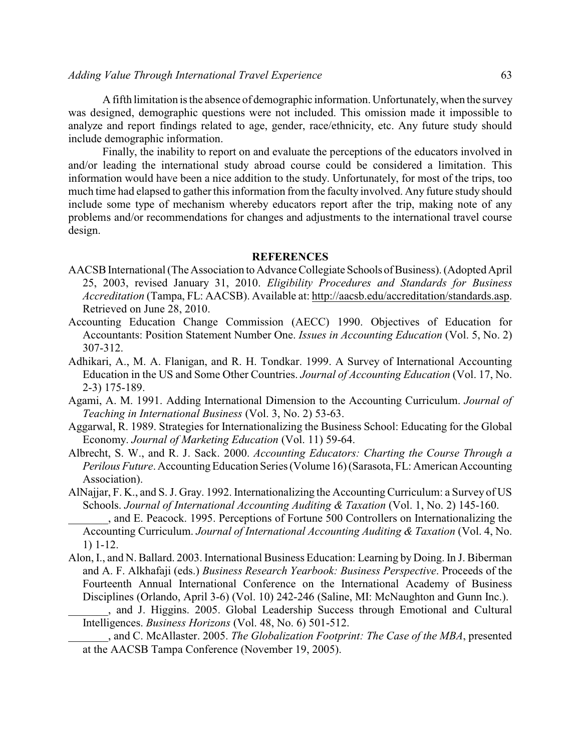A fifth limitation is the absence of demographic information. Unfortunately, when the survey was designed, demographic questions were not included. This omission made it impossible to analyze and report findings related to age, gender, race/ethnicity, etc. Any future study should include demographic information.

Finally, the inability to report on and evaluate the perceptions of the educators involved in and/or leading the international study abroad course could be considered a limitation. This information would have been a nice addition to the study. Unfortunately, for most of the trips, too much time had elapsed to gather this information from the faculty involved. Any future study should include some type of mechanism whereby educators report after the trip, making note of any problems and/or recommendations for changes and adjustments to the international travel course design.

#### **REFERENCES**

- AACSB International (The Association to Advance Collegiate Schools of Business). (Adopted April 25, 2003, revised January 31, 2010. *Eligibility Procedures and Standards for Business Accreditation* (Tampa, FL: AACSB). Available at: [http://aacsb.edu/accreditation/standards.asp.](http://aacsb.edu/accreditation/standards.asp) Retrieved on June 28, 2010.
- Accounting Education Change Commission (AECC) 1990. Objectives of Education for Accountants: Position Statement Number One. *Issues in Accounting Education* (Vol. 5, No. 2) 307-312.
- Adhikari, A., M. A. Flanigan, and R. H. Tondkar. 1999. A Survey of International Accounting Education in the US and Some Other Countries. *Journal of Accounting Education* (Vol. 17, No. 2-3) 175-189.
- Agami, A. M. 1991. Adding International Dimension to the Accounting Curriculum. *Journal of Teaching in International Business* (Vol. 3, No. 2) 53-63.
- Aggarwal, R. 1989. Strategies for Internationalizing the Business School: Educating for the Global Economy. *Journal of Marketing Education* (Vol. 11) 59-64.
- Albrecht, S. W., and R. J. Sack. 2000. *Accounting Educators: Charting the Course Through a Perilous Future*. Accounting Education Series (Volume 16) (Sarasota, FL: American Accounting Association).
- AlNajjar, F. K., and S. J. Gray. 1992. Internationalizing the Accounting Curriculum: a Survey of US Schools. *Journal of International Accounting Auditing & Taxation* (Vol. 1, No. 2) 145-160.
- \_\_\_\_\_\_\_, and E. Peacock. 1995. Perceptions of Fortune 500 Controllers on Internationalizing the Accounting Curriculum. *Journal of International Accounting Auditing & Taxation* (Vol. 4, No. 1) 1-12.
- Alon, I., and N. Ballard. 2003. International Business Education: Learning by Doing. In J. Biberman and A. F. Alkhafaji (eds.) *Business Research Yearbook: Business Perspective*. Proceeds of the Fourteenth Annual International Conference on the International Academy of Business Disciplines (Orlando, April 3-6) (Vol. 10) 242-246 (Saline, MI: McNaughton and Gunn Inc.).
	- \_\_\_\_\_\_\_, and J. Higgins. 2005. Global Leadership Success through Emotional and Cultural Intelligences. *Business Horizons* (Vol. 48, No. 6) 501-512.

\_\_\_\_\_\_\_, and C. McAllaster. 2005. *The Globalization Footprint: The Case of the MBA*, presented at the AACSB Tampa Conference (November 19, 2005).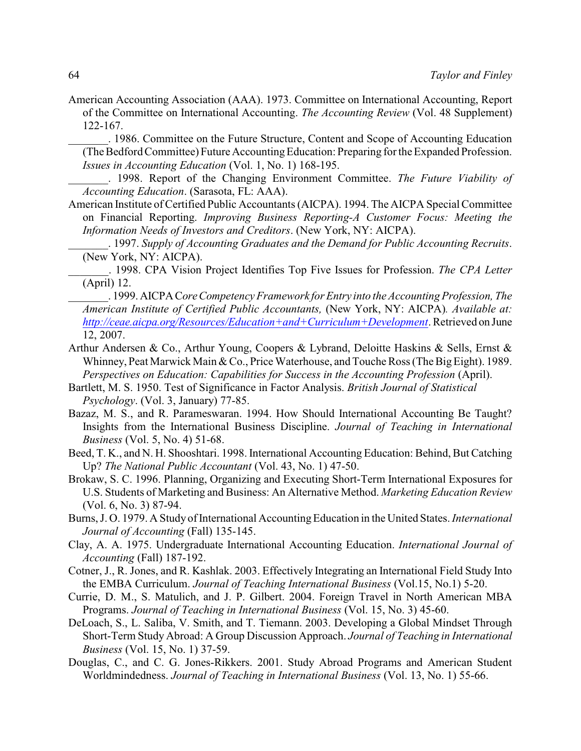- American Accounting Association (AAA). 1973. Committee on International Accounting, Report of the Committee on International Accounting. *The Accounting Review* (Vol. 48 Supplement) 122-167.
	- \_\_\_\_\_\_\_. 1986. Committee on the Future Structure, Content and Scope of Accounting Education (The Bedford Committee) Future Accounting Education: Preparing for the Expanded Profession. *Issues in Accounting Education* (Vol. 1, No. 1) 168-195.

\_\_\_\_\_\_\_. 1998. Report of the Changing Environment Committee. *The Future Viability of Accounting Education*. (Sarasota, FL: AAA).

- American Institute of Certified Public Accountants (AICPA). 1994. The AICPA Special Committee on Financial Reporting. *Improving Business Reporting-A Customer Focus: Meeting the Information Needs of Investors and Creditors*. (New York, NY: AICPA).
	- \_\_\_\_\_\_\_. 1997. *Supply of Accounting Graduates and the Demand for Public Accounting Recruits*. (New York, NY: AICPA).

\_\_\_\_\_\_\_. 1998. CPA Vision Project Identifies Top Five Issues for Profession. *The CPA Letter* (April) 12.

- \_\_\_\_\_\_\_. 1999.AICPAC*oreCompetency Framework for Entry into the Accounting Profession, The American Institute of Certified Public Accountants,* (New York, NY: AICPA)*. Available at: <http://ceae.aicpa.org/Resources/Education+and+Curriculum+Development>*. Retrieved on June 12, 2007.
- Arthur Andersen & Co., Arthur Young, Coopers & Lybrand, Deloitte Haskins & Sells, Ernst & Whinney, Peat Marwick Main & Co., Price Waterhouse, and Touche Ross (The Big Eight). 1989. *Perspectives on Education: Capabilities for Success in the Accounting Profession* (April).
- Bartlett, M. S. 1950. Test of Significance in Factor Analysis. *British Journal of Statistical Psychology*. (Vol. 3, January) 77-85.
- Bazaz, M. S., and R. Parameswaran. 1994. How Should International Accounting Be Taught? Insights from the International Business Discipline. *Journal of Teaching in International Business* (Vol. 5, No. 4) 51-68.
- Beed, T. K., and N. H. Shooshtari. 1998. International Accounting Education: Behind, But Catching Up? *The National Public Accountant* (Vol. 43, No. 1) 47-50.
- Brokaw, S. C. 1996. Planning, Organizing and Executing Short-Term International Exposures for U.S. Students of Marketing and Business: An Alternative Method. *Marketing Education Review* (Vol. 6, No. 3) 87-94.
- Burns, J. O. 1979. A Study of International Accounting Education in the United States. *International Journal of Accounting* (Fall) 135-145.
- Clay, A. A. 1975. Undergraduate International Accounting Education. *International Journal of Accounting* (Fall) 187-192.
- Cotner, J., R. Jones, and R. Kashlak. 2003. Effectively Integrating an International Field Study Into the EMBA Curriculum. *Journal of Teaching International Business* (Vol.15, No.1) 5-20.
- Currie, D. M., S. Matulich, and J. P. Gilbert. 2004. Foreign Travel in North American MBA Programs. *Journal of Teaching in International Business* (Vol. 15, No. 3) 45-60.
- DeLoach, S., L. Saliba, V. Smith, and T. Tiemann. 2003. Developing a Global Mindset Through Short-Term Study Abroad: A Group Discussion Approach. *Journal of Teaching in International Business* (Vol. 15, No. 1) 37-59.
- Douglas, C., and C. G. Jones-Rikkers. 2001. Study Abroad Programs and American Student Worldmindedness. *Journal of Teaching in International Business* (Vol. 13, No. 1) 55-66.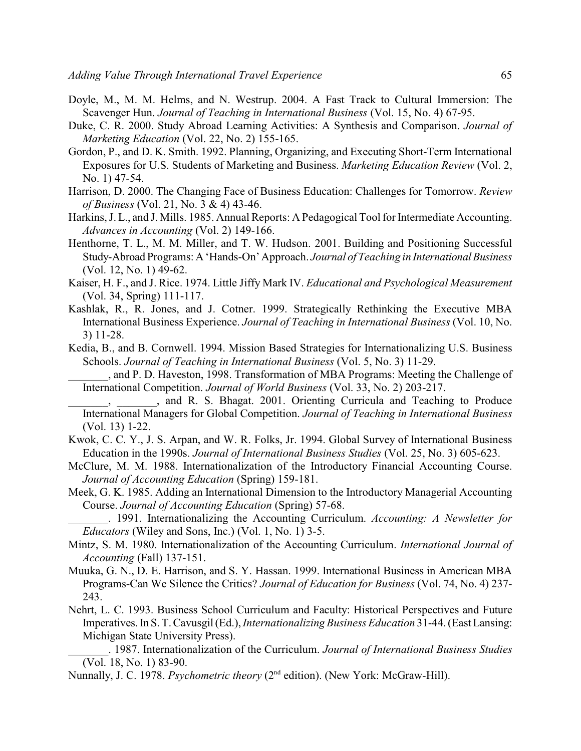- Doyle, M., M. M. Helms, and N. Westrup. 2004. A Fast Track to Cultural Immersion: The Scavenger Hun. *Journal of Teaching in International Business* (Vol. 15, No. 4) 67-95.
- Duke, C. R. 2000. Study Abroad Learning Activities: A Synthesis and Comparison. *Journal of Marketing Education* (Vol. 22, No. 2) 155-165.
- Gordon, P., and D. K. Smith. 1992. Planning, Organizing, and Executing Short-Term International Exposures for U.S. Students of Marketing and Business. *Marketing Education Review* (Vol. 2, No. 1) 47-54.
- Harrison, D. 2000. The Changing Face of Business Education: Challenges for Tomorrow. *Review of Business* (Vol. 21, No. 3 & 4) 43-46.
- Harkins, J. L., and J. Mills. 1985. Annual Reports: A Pedagogical Tool for Intermediate Accounting. *Advances in Accounting* (Vol. 2) 149-166.
- Henthorne, T. L., M. M. Miller, and T. W. Hudson. 2001. Building and Positioning Successful Study-Abroad Programs: A 'Hands-On' Approach. *Journal of Teaching in International Business* (Vol. 12, No. 1) 49-62.
- Kaiser, H. F., and J. Rice. 1974. Little Jiffy Mark IV. *Educational and Psychological Measurement* (Vol. 34, Spring) 111-117.
- Kashlak, R., R. Jones, and J. Cotner. 1999. Strategically Rethinking the Executive MBA International Business Experience. *Journal of Teaching in International Business* (Vol. 10, No. 3) 11-28.
- Kedia, B., and B. Cornwell. 1994. Mission Based Strategies for Internationalizing U.S. Business Schools. *Journal of Teaching in International Business* (Vol. 5, No. 3) 11-29.
- \_\_\_\_\_\_\_, and P. D. Haveston, 1998. Transformation of MBA Programs: Meeting the Challenge of International Competition. *Journal of World Business* (Vol. 33, No. 2) 203-217.
- \_\_\_\_\_\_\_, \_\_\_\_\_\_\_, and R. S. Bhagat. 2001. Orienting Curricula and Teaching to Produce International Managers for Global Competition. *Journal of Teaching in International Business* (Vol. 13) 1-22.
- Kwok, C. C. Y., J. S. Arpan, and W. R. Folks, Jr. 1994. Global Survey of International Business Education in the 1990s. *Journal of International Business Studies* (Vol. 25, No. 3) 605-623.
- McClure, M. M. 1988. Internationalization of the Introductory Financial Accounting Course. *Journal of Accounting Education* (Spring) 159-181.
- Meek, G. K. 1985. Adding an International Dimension to the Introductory Managerial Accounting Course. *Journal of Accounting Education* (Spring) 57-68.
	- \_\_\_\_\_\_\_. 1991. Internationalizing the Accounting Curriculum. *Accounting: A Newsletter for Educators* (Wiley and Sons, Inc.) (Vol. 1, No. 1) 3-5.
- Mintz, S. M. 1980. Internationalization of the Accounting Curriculum. *International Journal of Accounting* (Fall) 137-151.
- Muuka, G. N., D. E. Harrison, and S. Y. Hassan. 1999. International Business in American MBA Programs-Can We Silence the Critics? *Journal of Education for Business* (Vol. 74, No. 4) 237- 243.
- Nehrt, L. C. 1993. Business School Curriculum and Faculty: Historical Perspectives and Future Imperatives. In S. T. Cavusgil (Ed.), *Internationalizing Business Education* 31-44. (East Lansing: Michigan State University Press).
	- \_\_\_\_\_\_\_. 1987. Internationalization of the Curriculum. *Journal of International Business Studies* (Vol. 18, No. 1) 83-90.
- Nunnally, J. C. 1978. *Psychometric theory* (2<sup>nd</sup> edition). (New York: McGraw-Hill).